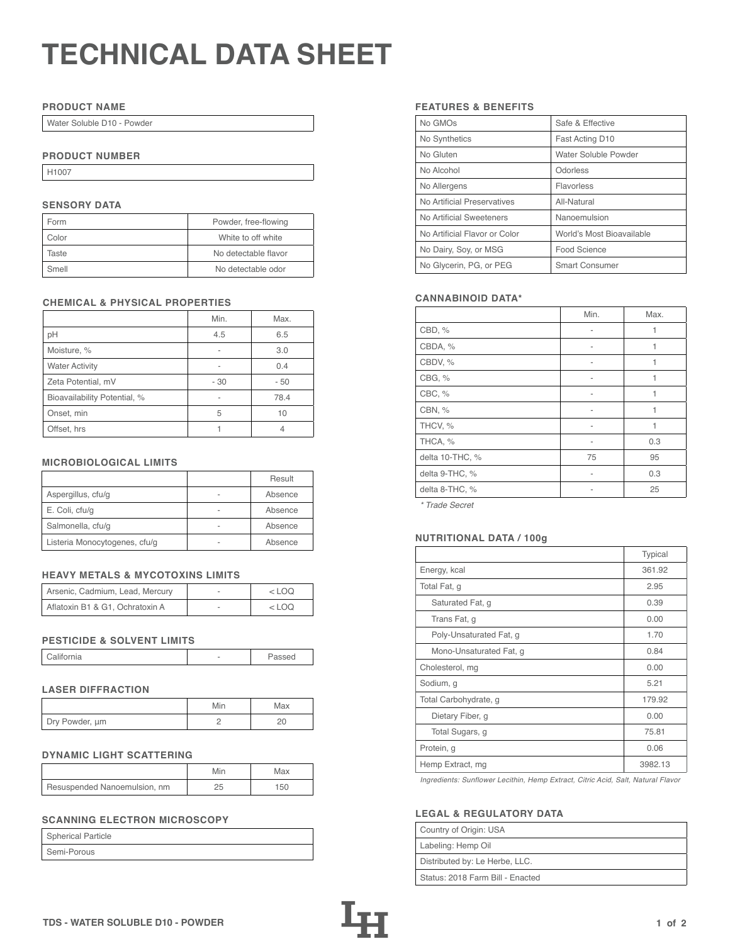# **TECHNICAL DATA SHEET**

## **PRODUCT NAME**

Water Soluble D10 - Powder

## **PRODUCT NUMBER**

H1007

## **SENSORY DATA**

| Form  | Powder, free-flowing |
|-------|----------------------|
| Color | White to off white   |
| Taste | No detectable flavor |
| Smell | No detectable odor   |

## **CHEMICAL & PHYSICAL PROPERTIES**

|                              | Min. | Max. |
|------------------------------|------|------|
| pH                           | 4.5  | 6.5  |
| Moisture, %                  |      | 3.0  |
| <b>Water Activity</b>        |      | 0.4  |
| Zeta Potential, mV           | - 30 | - 50 |
| Bioavailability Potential, % |      | 78.4 |
| Onset, min                   | 5    | 10   |
| Offset, hrs                  |      | 4    |

## **MICROBIOLOGICAL LIMITS**

|                               | Result  |
|-------------------------------|---------|
| Aspergillus, cfu/g            | Absence |
| E. Coli, cfu/g                | Absence |
| Salmonella, cfu/g             | Absence |
| Listeria Monocytogenes, cfu/g | Absence |

## **HEAVY METALS & MYCOTOXINS LIMITS**

| Arsenic, Cadmium, Lead, Mercury | $<$ LOO |
|---------------------------------|---------|
| Aflatoxin B1 & G1, Ochratoxin A | <100    |

## **PESTICIDE & SOLVENT LIMITS**

| California |  | Passed |
|------------|--|--------|
|------------|--|--------|

## **LASER DIFFRACTION**

|                | Min | Max |
|----------------|-----|-----|
| Dry Powder, um |     |     |

## **DYNAMIC LIGHT SCATTERING**

|                              | Min | Max |
|------------------------------|-----|-----|
| Resuspended Nanoemulsion, nm |     | 150 |

# **SCANNING ELECTRON MICROSCOPY**

| <b>Spherical Particle</b> |  |
|---------------------------|--|
| Semi-Porous               |  |

## **FEATURES & BENEFITS**

| No GMOs                       | Safe & Effective          |
|-------------------------------|---------------------------|
| No Synthetics                 | Fast Acting D10           |
| No Gluten                     | Water Soluble Powder      |
| No Alcohol                    | Odorless                  |
| No Allergens                  | Flavorless                |
| No Artificial Preservatives   | All-Natural               |
| No Artificial Sweeteners      | Nanoemulsion              |
| No Artificial Flavor or Color | World's Most Bioavailable |
| No Dairy, Soy, or MSG         | Food Science              |
| No Glycerin, PG, or PEG       | <b>Smart Consumer</b>     |

## **CANNABINOID DATA\***

|                 | Min. | Max. |
|-----------------|------|------|
| CBD, %          | ۰    | 1    |
| CBDA, %         |      | 1    |
| CBDV, %         |      | 1    |
| CBG, %          |      | 1    |
| CBC, %          | ۰    | 1    |
| CBN, %          |      | 1    |
| THCV, %         | ۰    | 1    |
| THCA, %         | ۰    | 0.3  |
| delta 10-THC, % | 75   | 95   |
| delta 9-THC, %  |      | 0.3  |
| delta 8-THC, %  |      | 25   |

*\* Trade Secret*

## Listeria Monocytogenes, cfu/g - Absence **NUTRITIONAL DATA / 100g**

|                         | Typical |
|-------------------------|---------|
| Energy, kcal            | 361.92  |
| Total Fat, g            | 2.95    |
| Saturated Fat, g        | 0.39    |
| Trans Fat, q            | 0.00    |
| Poly-Unsaturated Fat, g | 1.70    |
| Mono-Unsaturated Fat, g | 0.84    |
| Cholesterol, mg         | 0.00    |
| Sodium, g               | 5.21    |
| Total Carbohydrate, g   | 179.92  |
| Dietary Fiber, g        | 0.00    |
| Total Sugars, g         | 75.81   |
| Protein, g              | 0.06    |
| Hemp Extract, mg        | 3982.13 |

*Ingredients: Sunflower Lecithin, Hemp Extract, Citric Acid, Salt, Natural Flavor*

## **LEGAL & REGULATORY DATA**

| Country of Origin: USA           |
|----------------------------------|
| Labeling: Hemp Oil               |
| Distributed by: Le Herbe, LLC.   |
| Status: 2018 Farm Bill - Enacted |